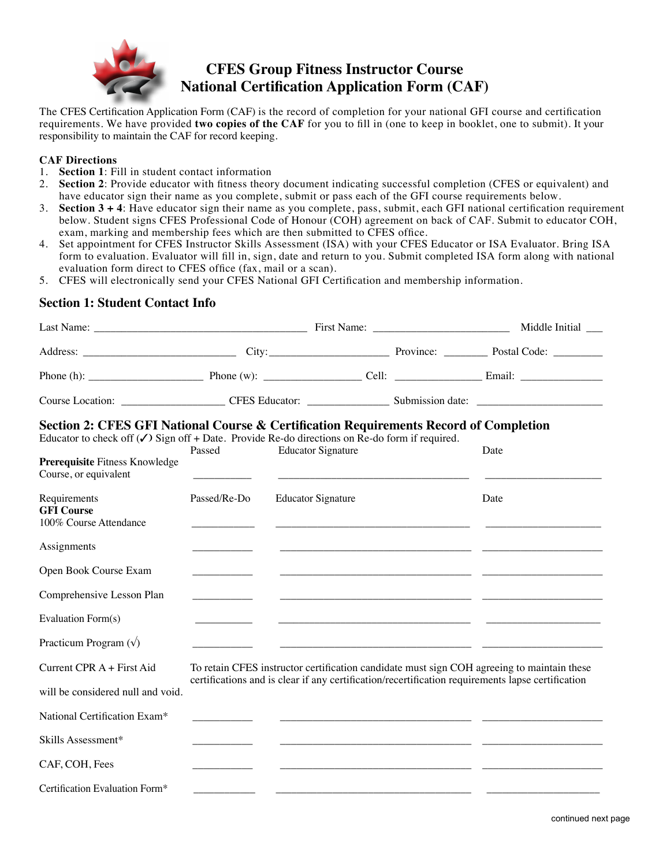

# **CFES Group Fitness Instructor Course National Certification Application Form (CAF)**

The CFES Certification Application Form (CAF) is the record of completion for your national GFI course and certification requirements. We have provided **two copies of the CAF** for you to fill in (one to keep in booklet, one to submit). It your responsibility to maintain the CAF for record keeping.

#### **CAF Directions**

- 1. **Section 1**: Fill in student contact information
- 2. **Section 2**: Provide educator with fitness theory document indicating successful completion (CFES or equivalent) and have educator sign their name as you complete, submit or pass each of the GFI course requirements below.
- 3. **Section 3 + 4**: Have educator sign their name as you complete, pass, submit, each GFI national certification requirement below. Student signs CFES Professional Code of Honour (COH) agreement on back of CAF. Submit to educator COH, exam, marking and membership fees which are then submitted to CFES office.
- 4. Set appointment for CFES Instructor Skills Assessment (ISA) with your CFES Educator or ISA Evaluator. Bring ISA form to evaluation. Evaluator will fill in, sign, date and return to you. Submit completed ISA form along with national evaluation form direct to CFES office (fax, mail or a scan).
- 5. CFES will electronically send your CFES National GFI Certification and membership information.

## **Section 1: Student Contact Info**

| Section 2: CFES GFI National Course & Certification Requirements Record of Completion<br>Educator to check off $(\checkmark)$ Sign off + Date. Provide Re-do directions on Re-do form if required. | Passed                             | <b>Educator Signature</b>                                                                         |  | Date                                                                                       |  |
|----------------------------------------------------------------------------------------------------------------------------------------------------------------------------------------------------|------------------------------------|---------------------------------------------------------------------------------------------------|--|--------------------------------------------------------------------------------------------|--|
| Prerequisite Fitness Knowledge<br>Course, or equivalent                                                                                                                                            |                                    |                                                                                                   |  |                                                                                            |  |
| Requirements<br><b>GFI Course</b><br>100% Course Attendance                                                                                                                                        | Passed/Re-Do                       | <b>Educator Signature</b>                                                                         |  | Date                                                                                       |  |
| Assignments                                                                                                                                                                                        |                                    |                                                                                                   |  |                                                                                            |  |
| Open Book Course Exam                                                                                                                                                                              |                                    |                                                                                                   |  |                                                                                            |  |
| Comprehensive Lesson Plan                                                                                                                                                                          | <u> 1989 - Jan Jawa Barat, pre</u> |                                                                                                   |  |                                                                                            |  |
| Evaluation Form(s)                                                                                                                                                                                 |                                    |                                                                                                   |  |                                                                                            |  |
| Practicum Program $(\sqrt)$                                                                                                                                                                        |                                    |                                                                                                   |  |                                                                                            |  |
| Current CPR A + First Aid                                                                                                                                                                          |                                    |                                                                                                   |  | To retain CFES instructor certification candidate must sign COH agreeing to maintain these |  |
| will be considered null and void.                                                                                                                                                                  |                                    | certifications and is clear if any certification/recertification requirements lapse certification |  |                                                                                            |  |
| National Certification Exam*                                                                                                                                                                       |                                    |                                                                                                   |  |                                                                                            |  |
| Skills Assessment*                                                                                                                                                                                 |                                    |                                                                                                   |  |                                                                                            |  |
| CAF, COH, Fees                                                                                                                                                                                     |                                    |                                                                                                   |  |                                                                                            |  |
| Certification Evaluation Form*                                                                                                                                                                     |                                    |                                                                                                   |  |                                                                                            |  |